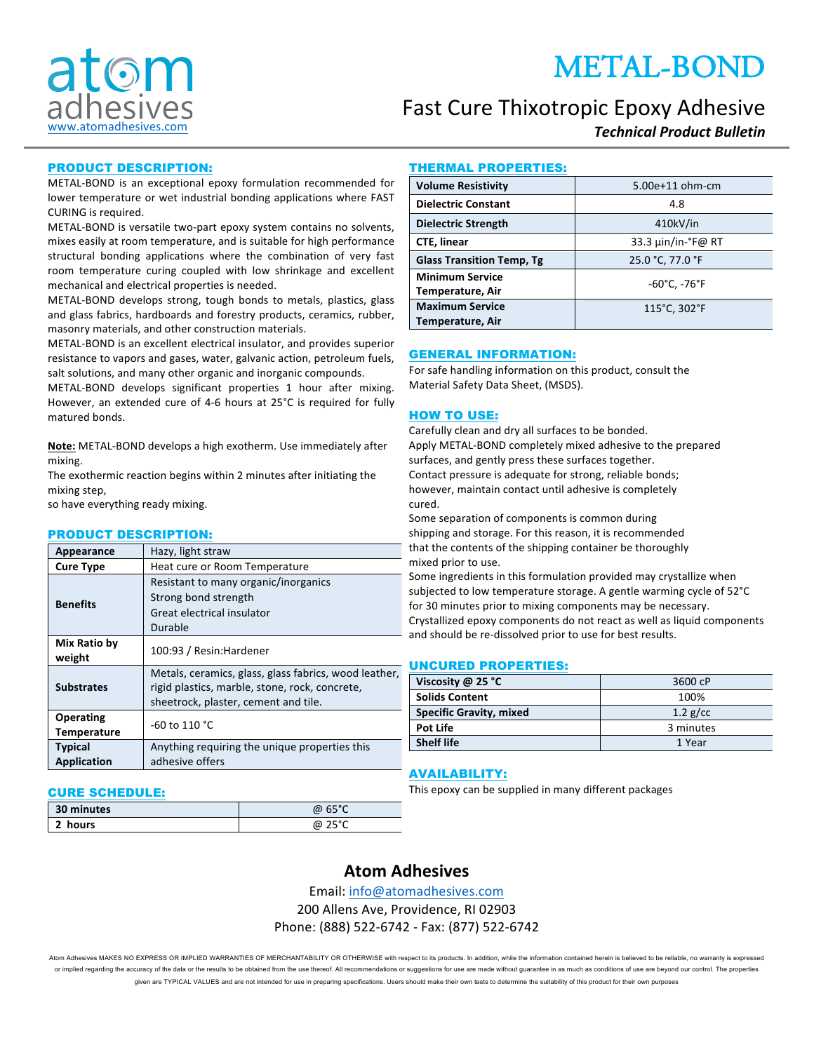# METAL-BOND



## Fast Cure Thixotropic Epoxy Adhesive

*Technical Product Bulletin*

#### PRODUCT DESCRIPTION:

METAL-BOND is an exceptional epoxy formulation recommended for lower temperature or wet industrial bonding applications where FAST CURING is required.

METAL-BOND is versatile two-part epoxy system contains no solvents, mixes easily at room temperature, and is suitable for high performance structural bonding applications where the combination of very fast room temperature curing coupled with low shrinkage and excellent mechanical and electrical properties is needed.

METAL-BOND develops strong, tough bonds to metals, plastics, glass and glass fabrics, hardboards and forestry products, ceramics, rubber, masonry materials, and other construction materials.

METAL-BOND is an excellent electrical insulator, and provides superior resistance to vapors and gases, water, galvanic action, petroleum fuels, salt solutions, and many other organic and inorganic compounds.

METAL-BOND develops significant properties 1 hour after mixing. However, an extended cure of 4-6 hours at 25°C is required for fully matured bonds.

Note: METAL-BOND develops a high exotherm. Use immediately after mixing.

The exothermic reaction begins within 2 minutes after initiating the mixing step,

so have everything ready mixing.

#### PRODUCT DESCRIPTION:

| Appearance                             | Hazy, light straw                                                                                                                               |  |
|----------------------------------------|-------------------------------------------------------------------------------------------------------------------------------------------------|--|
| <b>Cure Type</b>                       | Heat cure or Room Temperature                                                                                                                   |  |
| <b>Benefits</b>                        | Resistant to many organic/inorganics<br>Strong bond strength<br>Great electrical insulator<br>Durable                                           |  |
| Mix Ratio by<br>weight                 | 100:93 / Resin: Hardener                                                                                                                        |  |
| <b>Substrates</b>                      | Metals, ceramics, glass, glass fabrics, wood leather,<br>rigid plastics, marble, stone, rock, concrete,<br>sheetrock, plaster, cement and tile. |  |
| <b>Operating</b><br><b>Temperature</b> | $-60$ to 110 °C                                                                                                                                 |  |
| <b>Typical</b><br><b>Application</b>   | Anything requiring the unique properties this<br>adhesive offers                                                                                |  |

#### CURE SCHEDULE:

| 30 minutes  | @ 65°C           |
|-------------|------------------|
| п.<br>hours | م∘ء∈ ،<br>@<br>∼ |

#### THERMAL PROPERTIES:

| <b>Volume Resistivity</b>                  | 5.00e+11 ohm-cm                  |
|--------------------------------------------|----------------------------------|
| <b>Dielectric Constant</b>                 | 4.8                              |
| <b>Dielectric Strength</b>                 | 410kV/in                         |
| <b>CTE, linear</b>                         | 33.3 µin/in-°F@ RT               |
| <b>Glass Transition Temp, Tg</b>           | 25.0 °C, 77.0 °F                 |
| <b>Minimum Service</b><br>Temperature, Air | $-60^{\circ}$ C, $-76^{\circ}$ F |
| <b>Maximum Service</b>                     | 115°C, 302°F                     |
| Temperature, Air                           |                                  |

#### GENERAL INFORMATION:

For safe handling information on this product, consult the Material Safety Data Sheet, (MSDS).

#### HOW TO USE:

Carefully clean and dry all surfaces to be bonded. Apply METAL-BOND completely mixed adhesive to the prepared surfaces, and gently press these surfaces together. Contact pressure is adequate for strong, reliable bonds; however, maintain contact until adhesive is completely cured.

Some separation of components is common during shipping and storage. For this reason, it is recommended that the contents of the shipping container be thoroughly mixed prior to use.

Some ingredients in this formulation provided may crystallize when subjected to low temperature storage. A gentle warming cycle of 52°C for 30 minutes prior to mixing components may be necessary. Crystallized epoxy components do not react as well as liquid components and should be re-dissolved prior to use for best results.

#### UNCURED PROPERTIES:

| Viscosity $\omega$ 25 °C       | 3600 cP    |
|--------------------------------|------------|
| <b>Solids Content</b>          | 100%       |
| <b>Specific Gravity, mixed</b> | $1.2$ g/cc |
| Pot Life                       | 3 minutes  |
| <b>Shelf life</b>              | 1 Year     |

#### AVAILABILITY:

This epoxy can be supplied in many different packages

### **Atom Adhesives**

Email: info@atomadhesives.com

200 Allens Ave, Providence, RI 02903 Phone: (888) 522-6742 - Fax: (877) 522-6742

Atom Adhesives MAKES NO EXPRESS OR IMPLIED WARRANTIES OF MERCHANTABILITY OR OTHERWISE with respect to its products. In addition, while the information contained herein is believed to be reliable, no warranty is expressed or implied regarding the accuracy of the data or the results to be obtained from the use thereof. All recommendations or suggestions for use are made without guarantee in as much as conditions of use are beyond our control given are TYPICAL VALUES and are not intended for use in preparing specifications. Users should make their own tests to determine the suitability of this product for their own purposes